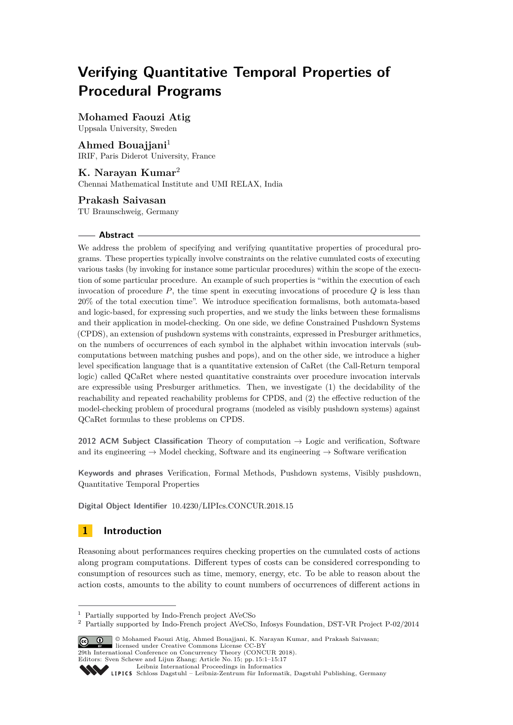# **Verifying Quantitative Temporal Properties of Procedural Programs**

# **Mohamed Faouzi Atig**

Uppsala University, Sweden

**Ahmed Bouajjani**<sup>1</sup> IRIF, Paris Diderot University, France

**K. Narayan Kumar**<sup>2</sup> Chennai Mathematical Institute and UMI RELAX, India

# **Prakash Saivasan**

TU Braunschweig, Germany

### **Abstract**

We address the problem of specifying and verifying quantitative properties of procedural programs. These properties typically involve constraints on the relative cumulated costs of executing various tasks (by invoking for instance some particular procedures) within the scope of the execution of some particular procedure. An example of such properties is "within the execution of each invocation of procedure *P*, the time spent in executing invocations of procedure *Q* is less than 20% of the total execution time". We introduce specification formalisms, both automata-based and logic-based, for expressing such properties, and we study the links between these formalisms and their application in model-checking. On one side, we define Constrained Pushdown Systems (CPDS), an extension of pushdown systems with constraints, expressed in Presburger arithmetics, on the numbers of occurrences of each symbol in the alphabet within invocation intervals (subcomputations between matching pushes and pops), and on the other side, we introduce a higher level specification language that is a quantitative extension of CaRet (the Call-Return temporal logic) called QCaRet where nested quantitative constraints over procedure invocation intervals are expressible using Presburger arithmetics. Then, we investigate (1) the decidability of the reachability and repeated reachability problems for CPDS, and (2) the effective reduction of the model-checking problem of procedural programs (modeled as visibly pushdown systems) against QCaRet formulas to these problems on CPDS.

**2012 ACM Subject Classification** Theory of computation → Logic and verification, Software and its engineering  $\rightarrow$  Model checking, Software and its engineering  $\rightarrow$  Software verification

**Keywords and phrases** Verification, Formal Methods, Pushdown systems, Visibly pushdown, Quantitative Temporal Properties

**Digital Object Identifier** [10.4230/LIPIcs.CONCUR.2018.15](http://dx.doi.org/10.4230/LIPIcs.CONCUR.2018.15)

# **1 Introduction**

Reasoning about performances requires checking properties on the cumulated costs of actions along program computations. Different types of costs can be considered corresponding to consumption of resources such as time, memory, energy, etc. To be able to reason about the action costs, amounts to the ability to count numbers of occurrences of different actions in

<sup>2</sup> Partially supported by Indo-French project AVeCSo, Infosys Foundation, DST-VR Project P-02/2014



**29th International Conference on Concurrency Theory (CONCUR 2018).** 

<sup>1</sup> Partially supported by Indo-French project AVeCSo

Editors: Sven Schewe and Lijun Zhang; Article No. 15; pp. 15:1–15[:17](#page-16-0)

[Leibniz International Proceedings in Informatics](http://www.dagstuhl.de/lipics/)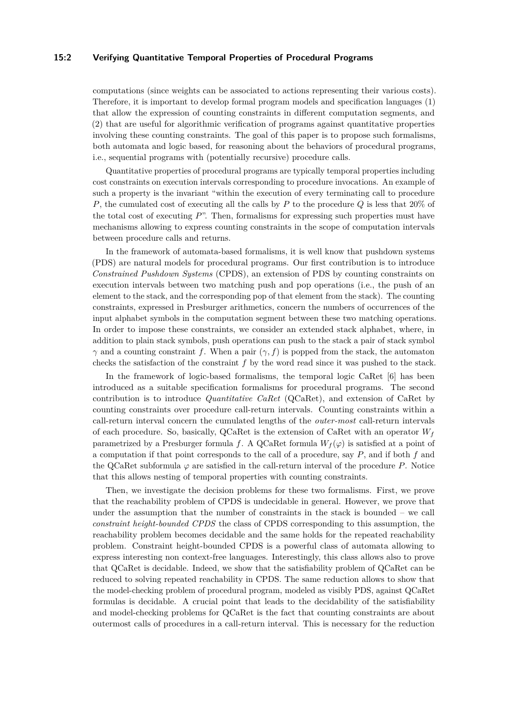#### **15:2 Verifying Quantitative Temporal Properties of Procedural Programs**

computations (since weights can be associated to actions representing their various costs). Therefore, it is important to develop formal program models and specification languages (1) that allow the expression of counting constraints in different computation segments, and (2) that are useful for algorithmic verification of programs against quantitative properties involving these counting constraints. The goal of this paper is to propose such formalisms, both automata and logic based, for reasoning about the behaviors of procedural programs, i.e., sequential programs with (potentially recursive) procedure calls.

Quantitative properties of procedural programs are typically temporal properties including cost constraints on execution intervals corresponding to procedure invocations. An example of such a property is the invariant "within the execution of every terminating call to procedure *P*, the cumulated cost of executing all the calls by *P* to the procedure *Q* is less that 20% of the total cost of executing *P*". Then, formalisms for expressing such properties must have mechanisms allowing to express counting constraints in the scope of computation intervals between procedure calls and returns.

In the framework of automata-based formalisms, it is well know that pushdown systems (PDS) are natural models for procedural programs. Our first contribution is to introduce *Constrained Pushdown Systems* (CPDS), an extension of PDS by counting constraints on execution intervals between two matching push and pop operations (i.e., the push of an element to the stack, and the corresponding pop of that element from the stack). The counting constraints, expressed in Presburger arithmetics, concern the numbers of occurrences of the input alphabet symbols in the computation segment between these two matching operations. In order to impose these constraints, we consider an extended stack alphabet, where, in addition to plain stack symbols, push operations can push to the stack a pair of stack symbol *γ* and a counting constraint *f*. When a pair  $(γ, f)$  is popped from the stack, the automaton checks the satisfaction of the constraint *f* by the word read since it was pushed to the stack.

In the framework of logic-based formalisms, the temporal logic CaRet [\[6\]](#page-15-0) has been introduced as a suitable specification formalisms for procedural programs. The second contribution is to introduce *Quantitative CaRet* (QCaRet), and extension of CaRet by counting constraints over procedure call-return intervals. Counting constraints within a call-return interval concern the cumulated lengths of the *outer-most* call-return intervals of each procedure. So, basically, QCaRet is the extension of CaRet with an operator  $W_f$ parametrized by a Presburger formula *f*. A QCaRet formula  $W_f(\varphi)$  is satisfied at a point of a computation if that point corresponds to the call of a procedure, say *P*, and if both *f* and the QCaRet subformula  $\varphi$  are satisfied in the call-return interval of the procedure *P*. Notice that this allows nesting of temporal properties with counting constraints.

Then, we investigate the decision problems for these two formalisms. First, we prove that the reachability problem of CPDS is undecidable in general. However, we prove that under the assumption that the number of constraints in the stack is bounded – we call *constraint height-bounded CPDS* the class of CPDS corresponding to this assumption, the reachability problem becomes decidable and the same holds for the repeated reachability problem. Constraint height-bounded CPDS is a powerful class of automata allowing to express interesting non context-free languages. Interestingly, this class allows also to prove that QCaRet is decidable. Indeed, we show that the satisfiability problem of QCaRet can be reduced to solving repeated reachability in CPDS. The same reduction allows to show that the model-checking problem of procedural program, modeled as visibly PDS, against QCaRet formulas is decidable. A crucial point that leads to the decidability of the satisfiability and model-checking problems for QCaRet is the fact that counting constraints are about outermost calls of procedures in a call-return interval. This is necessary for the reduction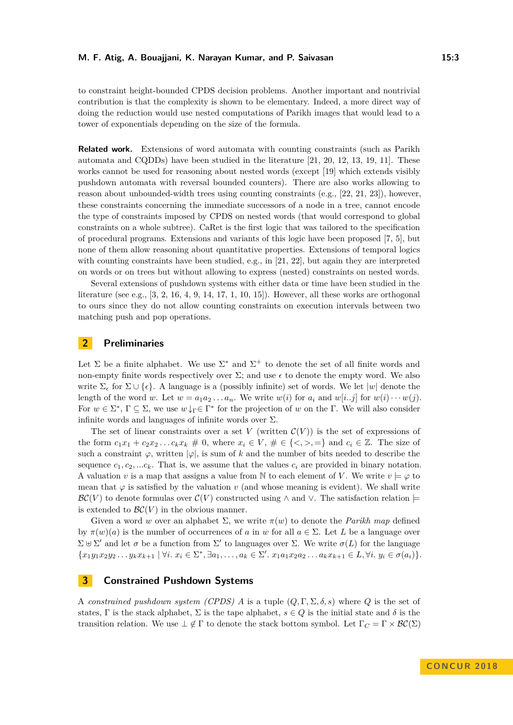to constraint height-bounded CPDS decision problems. Another important and nontrivial contribution is that the complexity is shown to be elementary. Indeed, a more direct way of doing the reduction would use nested computations of Parikh images that would lead to a tower of exponentials depending on the size of the formula.

**Related work.** Extensions of word automata with counting constraints (such as Parikh automata and CQDDs) have been studied in the literature [\[21,](#page-16-1) [20,](#page-16-2) [12,](#page-15-1) [13,](#page-15-2) [19,](#page-16-3) [11\]](#page-15-3). These works cannot be used for reasoning about nested words (except [\[19\]](#page-16-3) which extends visibly pushdown automata with reversal bounded counters). There are also works allowing to reason about unbounded-width trees using counting constraints (e.g., [\[22,](#page-16-4) [21,](#page-16-1) [23\]](#page-16-5)), however, these constraints concerning the immediate successors of a node in a tree, cannot encode the type of constraints imposed by CPDS on nested words (that would correspond to global constraints on a whole subtree). CaRet is the first logic that was tailored to the specification of procedural programs. Extensions and variants of this logic have been proposed [\[7,](#page-15-4) [5\]](#page-15-5), but none of them allow reasoning about quantitative properties. Extensions of temporal logics with counting constraints have been studied, e.g., in  $[21, 22]$  $[21, 22]$  $[21, 22]$ , but again they are interpreted on words or on trees but without allowing to express (nested) constraints on nested words.

Several extensions of pushdown systems with either data or time have been studied in the literature (see e.g., [\[3,](#page-15-6) [2,](#page-15-7) [16,](#page-16-6) [4,](#page-15-8) [9,](#page-15-9) [14,](#page-15-10) [17,](#page-16-7) [1,](#page-15-11) [10,](#page-15-12) [15\]](#page-16-8)). However, all these works are orthogonal to ours since they do not allow counting constraints on execution intervals between two matching push and pop operations.

### **2 Preliminaries**

Let  $\Sigma$  be a finite alphabet. We use  $\Sigma^*$  and  $\Sigma^+$  to denote the set of all finite words and non-empty finite words respectively over  $\Sigma$ ; and use  $\epsilon$  to denote the empty word. We also write  $\Sigma_{\epsilon}$  for  $\Sigma \cup {\epsilon}$ . A language is a (possibly infinite) set of words. We let  $|w|$  denote the length of the word *w*. Let  $w = a_1 a_2 \ldots a_n$ . We write  $w(i)$  for  $a_i$  and  $w[i..j]$  for  $w(i) \cdots w(j)$ . For  $w \in \Sigma^*$ ,  $\Gamma \subseteq \Sigma$ , we use  $w \downarrow_{\Gamma} \in \Gamma^*$  for the projection of *w* on the  $\Gamma$ . We will also consider infinite words and languages of infinite words over  $\Sigma$ .

The set of linear constraints over a set V (written  $\mathcal{C}(V)$ ) is the set of expressions of the form  $c_1x_1 + c_2x_2 \ldots c_kx_k \neq 0$ , where  $x_i \in V$ ,  $\neq \in \{<, >, =\}$  and  $c_i \in \mathbb{Z}$ . The size of such a constraint  $\varphi$ , written  $|\varphi|$ , is sum of k and the number of bits needed to describe the sequence  $c_1, c_2, \ldots c_k$ . That is, we assume that the values  $c_i$  are provided in binary notation. A valuation *v* is a map that assigns a value from N to each element of *V*. We write  $v \models \varphi$  to mean that  $\varphi$  is satisfied by the valuation  $v$  (and whose meaning is evident). We shall write  $\mathcal{BC}(V)$  to denote formulas over  $\mathcal{C}(V)$  constructed using  $\wedge$  and  $\vee$ . The satisfaction relation  $\models$ is extended to  $\mathcal{BC}(V)$  in the obvious manner.

Given a word *w* over an alphabet  $\Sigma$ , we write  $\pi(w)$  to denote the *Parikh map* defined by  $\pi(w)(a)$  is the number of occurrences of *a* in *w* for all  $a \in \Sigma$ . Let *L* be a language over  $\Sigma$   $\uplus$   $\Sigma'$  and let *σ* be a function from  $\Sigma'$  to languages over  $\Sigma$ . We write *σ*(*L*) for the language  ${x_1y_1x_2y_2...y_kx_{k+1} | \forall i. x_i \in \Sigma^*, \exists a_1,..., a_k \in \Sigma'. x_1a_1x_2a_2...a_kx_{k+1} \in L, \forall i. y_i \in \sigma(a_i)}$ .

# <span id="page-2-0"></span>**3 Constrained Pushdown Systems**

A *constrained pushdown system (CPDS) A* is a tuple (*Q,* Γ*,* Σ*, δ, s*) where *Q* is the set of states, Γ is the stack alphabet,  $\Sigma$  is the tape alphabet,  $s \in Q$  is the initial state and  $\delta$  is the transition relation. We use  $\perp \notin \Gamma$  to denote the stack bottom symbol. Let  $\Gamma_C = \Gamma \times \mathcal{BC}(\Sigma)$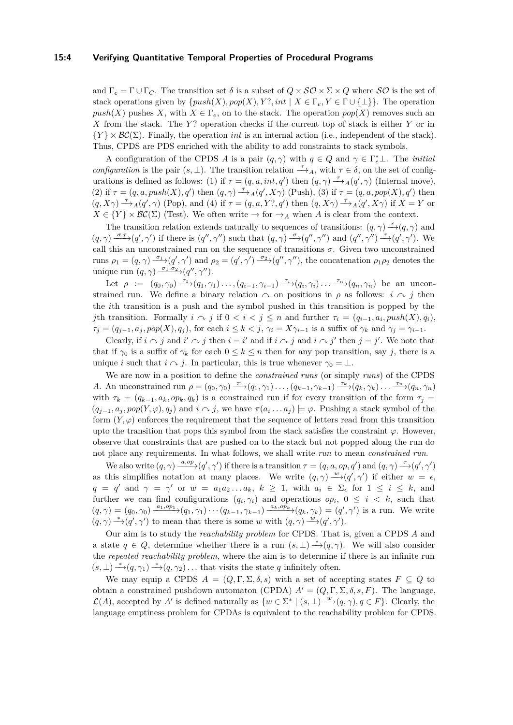#### **15:4 Verifying Quantitative Temporal Properties of Procedural Programs**

and  $\Gamma_e = \Gamma \cup \Gamma_C$ . The transition set  $\delta$  is a subset of  $Q \times \mathcal{SO} \times \Sigma \times Q$  where  $\mathcal{SO}$  is the set of stack operations given by  $\{push(X), pop(X), Y?$ , int  $| X \in \Gamma_e, Y \in \Gamma \cup \{\perp\}\}\.$  The operation  $push(X)$  pushes X, with  $X \in \Gamma_e$ , on to the stack. The operation  $pop(X)$  removes such an *X* from the stack. The *Y* ? operation checks if the current top of stack is either *Y* or in  ${Y} \times BC(\Sigma)$ . Finally, the operation *int* is an internal action (i.e., independent of the stack). Thus, CPDS are PDS enriched with the ability to add constraints to stack symbols.

A configuration of the CPDS *A* is a pair  $(q, \gamma)$  with  $q \in Q$  and  $\gamma \in \Gamma_e^* \bot$ . The *initial configuration* is the pair  $(s, \perp)$ . The transition relation  $\stackrel{\tau}{\longrightarrow}_A$ , with  $\tau \in \delta$ , on the set of configurations is defined as follows: (1) if  $\tau = (q, a, int, q')$  then  $(q, \gamma) \stackrel{\tau}{\longrightarrow}_A (q', \gamma)$  (Internal move), (2) if  $\tau = (q, a, push(X), q')$  then  $(q, \gamma) \rightarrow_A (q', X\gamma)$  (Push), (3) if  $\tau = (q, a, pop(X), q')$  then  $(q, X\gamma) \xrightarrow{\tau} A(q', \gamma)$  (Pop), and (4) if  $\tau = (q, a, Y', q')$  then  $(q, X\gamma) \xrightarrow{\tau} A(q', X\gamma)$  if  $X = Y$  or  $X \in \{Y\} \times \mathcal{BC}(\Sigma)$  (Test). We often write  $\rightarrow$  for  $\rightarrow_A$  when *A* is clear from the context.

The transition relation extends naturally to sequences of transitions:  $(q, \gamma) \stackrel{\epsilon}{\rightarrow} (q, \gamma)$  and  $(q, \gamma) \xrightarrow{\sigma, \tau} (q', \gamma')$  if there is  $(q'', \gamma'')$  such that  $(q, \gamma) \xrightarrow{\sigma} (q'', \gamma'')$  and  $(q'', \gamma'') \xrightarrow{\tau} (q', \gamma')$ . We call this an unconstrained run on the sequence of transitions  $\sigma$ . Given two unconstrained runs  $\rho_1 = (q, \gamma) \xrightarrow{\sigma_1} (q', \gamma')$  and  $\rho_2 = (q', \gamma') \xrightarrow{\sigma_2} (q'', \gamma'')$ , the concatenation  $\rho_1 \rho_2$  denotes the unique run  $(q, \gamma) \xrightarrow{\sigma_1 \cdot \sigma_2} (q'', \gamma'')$ .

Let  $\rho := (q_0, \gamma_0) \xrightarrow{\tau_1} (q_1, \gamma_1) \dots, (q_{i-1}, \gamma_{i-1}) \xrightarrow{\tau_i} (q_i, \gamma_i) \dots \xrightarrow{\tau_n} (q_n, \gamma_n)$  be an unconstrained run. We define a binary relation  $\sim$  on positions in  $\rho$  as follows: *i*  $\sim$  *j* then the *i*th transition is a push and the symbol pushed in this transition is popped by the *j*th transition. Formally  $i \sim j$  if  $0 < i < j \leq n$  and further  $\tau_i = (q_{i-1}, a_i, push(X), q_i)$ ,  $\tau_j = (q_{j-1}, a_j, pop(X), q_j)$ , for each  $i \leq k < j$ ,  $\gamma_i = X\gamma_{i-1}$  is a suffix of  $\gamma_k$  and  $\gamma_j = \gamma_{i-1}$ .

Clearly, if  $i \sim j$  and  $i' \sim j$  then  $i = i'$  and if  $i \sim j$  and  $i \sim j'$  then  $j = j'$ . We note that that if  $\gamma_0$  is a suffix of  $\gamma_k$  for each  $0 \leq k \leq n$  then for any pop transition, say *j*, there is a unique *i* such that  $i \sim j$ . In particular, this is true whenever  $\gamma_0 = \bot$ .

We are now in a position to define the *constrained runs* (or simply *runs*) of the CPDS A. An unconstrained run  $\rho = (q_0, \gamma_0) \frac{\tau_1}{\tau_1} (q_1, \gamma_1) \dots (q_{k-1}, \gamma_{k-1}) \frac{\tau_k}{\tau_k} (q_k, \gamma_k) \dots \frac{\tau_n}{\tau_n} (q_n, \gamma_n)$ with  $\tau_k = (q_{k-1}, a_k, op_k, q_k)$  is a constrained run if for every transition of the form  $\tau_j =$  $(q_{j-1}, a_j, pop(Y, \varphi), q_j)$  and  $i \in \mathcal{j}$ , we have  $\pi(a_i \dots a_j) \models \varphi$ . Pushing a stack symbol of the form  $(Y, \varphi)$  enforces the requirement that the sequence of letters read from this transition upto the transition that pops this symbol from the stack satisfies the constraint  $\varphi$ . However, observe that constraints that are pushed on to the stack but not popped along the run do not place any requirements. In what follows, we shall write *run* to mean *constrained run*.

We also write  $(q, \gamma) \xrightarrow{a, op} (q', \gamma')$  if there is a transition  $\tau = (q, a, op, q')$  and  $(q, \gamma) \xrightarrow{\tau} (q', \gamma')$ as this simplifies notation at many places. We write  $(q, \gamma) \stackrel{w}{\longrightarrow} (q', \gamma')$  if either  $w = \epsilon$ , *q* = *q*' and *γ* = *γ*' or *w* = *a*<sub>1</sub>*a*<sub>2</sub>...*a*<sub>k</sub>, *k* ≥ 1, with *a*<sub>*i*</sub> ∈  $\Sigma$ <sub>*c*</sub> for 1 ≤ *i* ≤ *k*, and further we can find configurations  $(q_i, \gamma_i)$  and operations  $op_i$ ,  $0 \leq i \leq k$ , such that  $(q,\gamma)=(q_0,\gamma_0)\frac{a_1,\rho p_1}{\gamma}(q_1,\gamma_1)\cdots(q_{k-1},\gamma_{k-1})\frac{a_k,\rho p_k}{\gamma}(q_k,\gamma_k)=(q',\gamma')$  is a run. We write  $(q, \gamma) \stackrel{*}{\rightarrow} (q', \gamma')$  to mean that there is some *w* with  $(q, \gamma) \stackrel{w}{\rightarrow} (q', \gamma')$ .

Our aim is to study the *reachability problem* for CPDS. That is, given a CPDS *A* and a state  $q \in Q$ , determine whether there is a run  $(s, \perp) \stackrel{*}{\rightarrow} (q, \gamma)$ . We will also consider the *repeated reachability problem*, where the aim is to determine if there is an infinite run  $(s, \perp) \stackrel{*}{\longrightarrow} (q, \gamma_1) \stackrel{*}{\longrightarrow} (q, \gamma_2) \ldots$  that visits the state *q* infinitely often.

We may equip a CPDS  $A = (Q, \Gamma, \Sigma, \delta, s)$  with a set of accepting states  $F \subseteq Q$  to obtain a constrained pushdown automaton (CPDA)  $A' = (Q, \Gamma, \Sigma, \delta, s, F)$ . The language,  $\mathcal{L}(A)$ , accepted by *A'* is defined naturally as  $\{w \in \Sigma^* \mid (s, \bot) \stackrel{w}{\longrightarrow} (q, \gamma), q \in F\}$ . Clearly, the language emptiness problem for CPDAs is equivalent to the reachability problem for CPDS.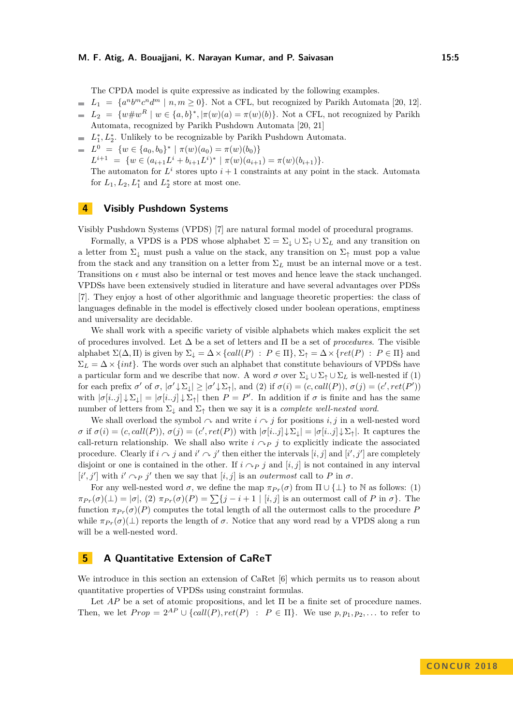The CPDA model is quite expressive as indicated by the following examples.

- $L_1 = \{a^n b^m c^n d^m \mid n, m \ge 0\}$ . Not a CFL, but recognized by Parikh Automata [\[20,](#page-16-2) [12\]](#page-15-1).
- $L_2 = \{w \# w^R \mid w \in \{a, b\}^*, |\pi(w)(a) = \pi(w)(b)\}.$  Not a CFL, not recognized by Parikh Automata, recognized by Parikh Pushdown Automata [\[20,](#page-16-2) [21\]](#page-16-1)
- $L_1^*, L_2^*$ . Unlikely to be recognizable by Parikh Pushdown Automata.
- $L^0 = \{w \in \{a_0, b_0\}^* \mid \pi(w)(a_0) = \pi(w)(b_0)\}\$
- $L^{i+1} = \{ w \in (a_{i+1}L^i + b_{i+1}L^i)^* \mid \pi(w)(a_{i+1}) = \pi(w)(b_{i+1}) \}.$

The automaton for  $L^i$  stores upto  $i+1$  constraints at any point in the stack. Automata for  $L_1, L_2, L_1^*$  and  $L_2^*$  store at most one.

# **4 Visibly Pushdown Systems**

Visibly Pushdown Systems (VPDS) [\[7\]](#page-15-4) are natural formal model of procedural programs.

Formally, a VPDS is a PDS whose alphabet  $\Sigma = \Sigma_{\perp} \cup \Sigma_{\uparrow} \cup \Sigma_{L}$  and any transition on a letter from  $\Sigma_{\downarrow}$  must push a value on the stack, any transition on  $\Sigma_{\uparrow}$  must pop a value from the stack and any transition on a letter from  $\Sigma_L$  must be an internal move or a test. Transitions on  $\epsilon$  must also be internal or test moves and hence leave the stack unchanged. VPDSs have been extensively studied in literature and have several advantages over PDSs [\[7\]](#page-15-4). They enjoy a host of other algorithmic and language theoretic properties: the class of languages definable in the model is effectively closed under boolean operations, emptiness and universality are decidable.

We shall work with a specific variety of visible alphabets which makes explicit the set of procedures involved. Let ∆ be a set of letters and Π be a set of *procedures*. The visible alphabet  $\Sigma(\Delta,\Pi)$  is given by  $\Sigma_{\perp} = \Delta \times \{call(P) : P \in \Pi\}$ ,  $\Sigma_{\uparrow} = \Delta \times \{ret(P) : P \in \Pi\}$  and  $\Sigma_L = \Delta \times \{int$ . The words over such an alphabet that constitute behaviours of VPDSs have a particular form and we describe that now. A word  $\sigma$  over  $\Sigma_{\downarrow} \cup \Sigma_{\uparrow} \cup \Sigma_L$  is well-nested if (1) for each prefix  $\sigma'$  of  $\sigma$ ,  $|\sigma' \downarrow \Sigma_{\downarrow}| \geq |\sigma' \downarrow \Sigma_{\uparrow}|$ , and (2) if  $\sigma(i) = (c, \text{call}(P)), \sigma(j) = (c', \text{ret}(P'))$ with  $|\sigma[i..j] \downarrow \Sigma_{\downarrow}| = |\sigma[i..j] \downarrow \Sigma_{\uparrow}|$  then  $P = P'$ . In addition if  $\sigma$  is finite and has the same number of letters from  $\Sigma_{\downarrow}$  and  $\Sigma_{\uparrow}$  then we say it is a *complete well-nested word*.

We shall overload the symbol  $\sim$  and write  $i \sim j$  for positions *i, j* in a well-nested word  $\sigma$  if  $\sigma(i) = (c, \text{call}(P)), \sigma(j) = (c', \text{ret}(P))$  with  $|\sigma[i..j] \downarrow \Sigma_{\downarrow}| = |\sigma[i..j] \downarrow \Sigma_{\uparrow}|$ . It captures the call-return relationship. We shall also write  $i \nightharpoonup_{P} j$  to explicitly indicate the associated procedure. Clearly if  $i \sim j$  and  $i' \sim j'$  then either the intervals  $[i, j]$  and  $[i', j']$  are completely disjoint or one is contained in the other. If  $i \nightharpoonup p j$  and  $[i, j]$  is not contained in any interval  $[i', j']$  with  $i' \cap p$  *j'* then we say that  $[i, j]$  is an *outermost* call to *P* in  $\sigma$ .

For any well-nested word  $\sigma$ , we define the map  $\pi_{Pr}(\sigma)$  from  $\Pi \cup {\{\perp\}}$  to N as follows: (1)  $\pi_{Pr}(\sigma)(\perp) = |\sigma|$ , (2)  $\pi_{Pr}(\sigma)(P) = \sum\{j - i + 1 \mid [i, j] \text{ is an outermost call of } P \text{ in } \sigma\}.$  The function  $\pi_{Pr}(\sigma)(P)$  computes the total length of all the outermost calls to the procedure P while  $\pi_{Pr}(\sigma)(\perp)$  reports the length of  $\sigma$ . Notice that any word read by a VPDS along a run will be a well-nested word.

# **5 A Quantitative Extension of CaReT**

We introduce in this section an extension of CaRet [\[6\]](#page-15-0) which permits us to reason about quantitative properties of VPDSs using constraint formulas.

Let  $AP$  be a set of atomic propositions, and let  $\Pi$  be a finite set of procedure names. Then, we let  $Prop = 2^{AP} \cup \{call(P), ret(P) : P \in \Pi \}$ . We use  $p, p_1, p_2, \ldots$  to refer to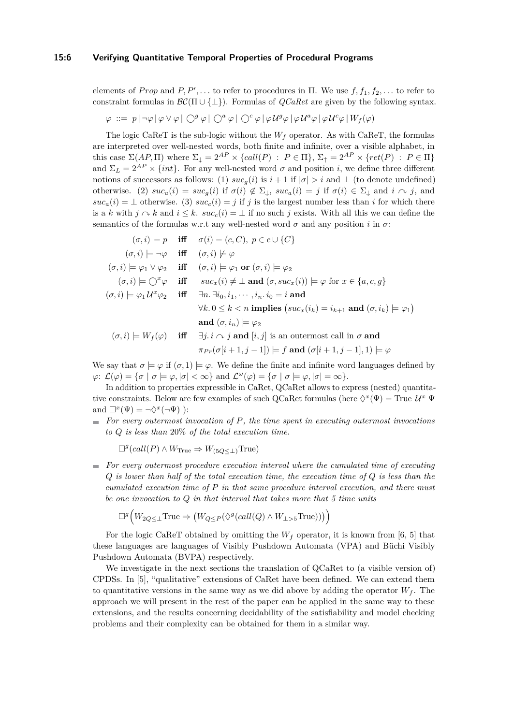#### **15:6 Verifying Quantitative Temporal Properties of Procedural Programs**

elements of *Prop* and *P*,  $P'$ , ... to refer to procedures in  $\Pi$ . We use  $f, f_1, f_2, \ldots$  to refer to constraint formulas in  $\mathcal{BC}(\Pi \cup \{\bot\})$ . Formulas of *QCaRet* are given by the following syntax.

$$
\varphi\ ::=\ p\,|\,\neg\varphi\,|\,\varphi\vee\varphi\,|\,\bigcirc^g\varphi\,|\,\bigcirc^a\varphi\,|\,\bigcirc^c\varphi\,|\,\varphi\,\mathcal{U}^g\varphi\,|\,\varphi\,\mathcal{U}^a\varphi\,|\,\varphi\,\mathcal{U}^c\varphi\,|\,W_f(\varphi)
$$

The logic CaReT is the sub-logic without the  $W_f$  operator. As with CaReT, the formulas are interpreted over well-nested words, both finite and infinite, over a visible alphabet, in this case  $\Sigma(AP,\Pi)$  where  $\Sigma_{\downarrow} = 2^{AP} \times \{call(P) : P \in \Pi\}, \Sigma_{\uparrow} = 2^{AP} \times \{ret(P) : P \in \Pi\}$ and  $\Sigma_L = 2^{AP} \times \{int\}$ . For any well-nested word  $\sigma$  and position *i*, we define three different notions of successors as follows: (1)  $suc_g(i)$  is  $i+1$  if  $|\sigma| > i$  and  $\perp$  (to denote undefined) otherwise. (2)  $suc_a(i) = suc_g(i)$  if  $\sigma(i) \notin \Sigma_{\downarrow}$ ,  $suc_a(i) = j$  if  $\sigma(i) \in \Sigma_{\downarrow}$  and  $i \sim j$ , and  $suc_a(i) = \perp$  otherwise. (3)  $suc_c(i) = j$  if *j* is the largest number less than *i* for which there is a *k* with  $j \sim k$  and  $i \leq k$ .  $suc_c(i) = \perp$  if no such j exists. With all this we can define the semantics of the formulas w.r.t any well-nested word  $\sigma$  and any position *i* in  $\sigma$ :

$$
(\sigma, i) \models p \quad \text{iff} \quad \sigma(i) = (c, C), \ p \in c \cup \{C\}
$$
  
\n
$$
(\sigma, i) \models \neg \varphi \quad \text{iff} \quad (\sigma, i) \not\models \varphi
$$
  
\n
$$
(\sigma, i) \models \varphi_1 \lor \varphi_2 \quad \text{iff} \quad (\sigma, i) \models \varphi_1 \text{ or } (\sigma, i) \models \varphi_2
$$
  
\n
$$
(\sigma, i) \models \bigcirc^x \varphi \quad \text{iff} \quad suc_x(i) \neq \bot \text{ and } (\sigma, suc_x(i)) \models \varphi \text{ for } x \in \{a, c, g\}
$$
  
\n
$$
(\sigma, i) \models \varphi_1 U^x \varphi_2 \quad \text{iff} \quad \exists n. \exists i_0, i_1, \dots, i_n. i_0 = i \text{ and}
$$
  
\n
$$
\forall k. 0 \leq k < n \text{ implies } (suc_x(i_k) = i_{k+1} \text{ and } (\sigma, i_k) \models \varphi_1)
$$
  
\nand 
$$
(\sigma, i_n) \models \varphi_2
$$
  
\n
$$
(\sigma, i) \models W_f(\varphi) \quad \text{iff} \quad \exists j. i \land j \text{ and } [i, j] \text{ is an outermost call in } \sigma \text{ and}
$$
  
\n
$$
\pi_{Pr}(\sigma[i+1, j-1]) \models f \text{ and } (\sigma[i+1, j-1], 1) \models \varphi
$$

We say that  $\sigma \models \varphi$  if  $(\sigma, 1) \models \varphi$ . We define the finite and infinite word languages defined by  $\varphi: \mathcal{L}(\varphi) = {\sigma | \sigma \models \varphi, |\sigma| < \infty}$  and  $\mathcal{L}(\varphi) = {\sigma | \sigma \models \varphi, |\sigma| = \infty}.$ 

In addition to properties expressible in CaRet, QCaRet allows to express (nested) quantitative constraints. Below are few examples of such QCaRet formulas (here  $\Diamond^x(\Psi) =$  True  $\mathcal{U}^x \Psi$ and  $\Box^x(\Psi) = \neg \Diamond^x(\neg \Psi)$  ):

*For every outermost invocation of P, the time spent in executing outermost invocations to Q is less than* 20% *of the total execution time*.

$$
\Box^g(call(P) \wedge W_{\text{True}} \Rightarrow W_{(5Q \le \perp)} \text{True})
$$

*For every outermost procedure execution interval where the cumulated time of executing*  $\blacksquare$ *Q is lower than half of the total execution time, the execution time of Q is less than the cumulated execution time of P in that same procedure interval execution, and there must be one invocation to Q in that interval that takes more that 5 time units*

$$
\Box^g \big( W_{2Q \leq \perp} \text{True} \Rightarrow \big( W_{Q \leq P} (\Diamond^g (call(Q) \land W_{\perp > \dots} \text{True})) \big) \big)
$$

For the logic CaReT obtained by omitting the  $W_f$  operator, it is known from [\[6,](#page-15-0) [5\]](#page-15-5) that these languages are languages of Visibly Pushdown Automata (VPA) and Büchi Visibly Pushdown Automata (BVPA) respectively.

We investigate in the next sections the translation of QCaRet to (a visible version of) CPDSs. In [\[5\]](#page-15-5), "qualitative" extensions of CaRet have been defined. We can extend them to quantitative versions in the same way as we did above by adding the operator  $W_f$ . The approach we will present in the rest of the paper can be applied in the same way to these extensions, and the results concerning decidability of the satisfiability and model checking problems and their complexity can be obtained for them in a similar way.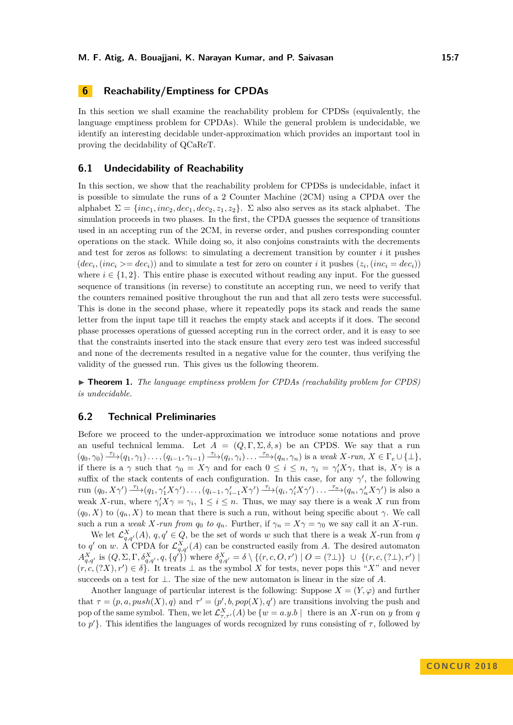# **6 Reachability/Emptiness for CPDAs**

In this section we shall examine the reachability problem for CPDSs (equivalently, the language emptiness problem for CPDAs). While the general problem is undecidable, we identify an interesting decidable under-approximation which provides an important tool in proving the decidability of QCaReT.

### **6.1 Undecidability of Reachability**

In this section, we show that the reachability problem for CPDSs is undecidable, infact it is possible to simulate the runs of a 2 Counter Machine (2CM) using a CPDA over the alphabet  $\Sigma = \{inc_1, inc_2, dec_1, dec_2, z_1, z_2\}$ .  $\Sigma$  also also serves as its stack alphabet. The simulation proceeds in two phases. In the first, the CPDA guesses the sequence of transitions used in an accepting run of the 2CM, in reverse order, and pushes corresponding counter operations on the stack. While doing so, it also conjoins constraints with the decrements and test for zeros as follows: to simulating a decrement transition by counter  $i$  it pushes  $(dec_i, (inc_i \geq -dec_i))$  and to simulate a test for zero on counter *i* it pushes  $(z_i, (inc_i = dec_i))$ where  $i \in \{1, 2\}$ . This entire phase is executed without reading any input. For the guessed sequence of transitions (in reverse) to constitute an accepting run, we need to verify that the counters remained positive throughout the run and that all zero tests were successful. This is done in the second phase, where it repeatedly pops its stack and reads the same letter from the input tape till it reaches the empty stack and accepts if it does. The second phase processes operations of guessed accepting run in the correct order, and it is easy to see that the constraints inserted into the stack ensure that every zero test was indeed successful and none of the decrements resulted in a negative value for the counter, thus verifying the validity of the guessed run. This gives us the following theorem.

► **Theorem 1.** *The language emptiness problem for CPDAs (reachability problem for CPDS) is undecidable.*

# **6.2 Technical Preliminaries**

Before we proceed to the under-approximation we introduce some notations and prove an useful technical lemma. Let  $A = (Q, \Gamma, \Sigma, \delta, s)$  be an CPDS. We say that a run  $(q_0, \gamma_0) \xrightarrow{\tau_1} (q_1, \gamma_1) \dots, (q_{i-1}, \gamma_{i-1}) \xrightarrow{\tau_i} (q_i, \gamma_i) \dots \xrightarrow{\tau_n} (q_n, \gamma_n)$  is a weak X-run,  $X \in \Gamma_e \cup \{\perp\},$ if there is a *γ* such that  $\gamma_0 = X\gamma$  and for each  $0 \leq i \leq n$ ,  $\gamma_i = \gamma'_i X\gamma$ , that is,  $X\gamma$  is a suffix of the stack contents of each configuration. In this case, for any  $\gamma'$ , the following run  $(q_0, X\gamma') \stackrel{\tau_1}{\longrightarrow} (q_1, \gamma'_1 X\gamma') \dots, (q_{i-1}, \gamma'_{i-1} X\gamma') \stackrel{\tau_i}{\longrightarrow} (q_i, \gamma'_i X\gamma') \dots \stackrel{\tau_n}{\longrightarrow} (q_n, \gamma'_n X\gamma')$  is also a weak *X*-run, where  $\gamma'_i X \gamma = \gamma_i$ ,  $1 \leq i \leq n$ . Thus, we may say there is a weak *X* run from  $(q_0, X)$  to  $(q_n, X)$  to mean that there is such a run, without being specific about  $\gamma$ . We call such a run a *weak X-run from*  $q_0$  *to*  $q_n$ . Further, if  $\gamma_n = X\gamma = \gamma_0$  we say call it an *X*-run.

We let  $\mathcal{L}_{q,q'}^X(A)$ ,  $q,q' \in Q$ , be the set of words *w* such that there is a weak *X*-run from *q* to *q'* on *w*. A CPDA for  $\mathcal{L}_{q,q'}^{X}(A)$  can be constructed easily from *A*. The desired automaton  $A_{q,q'}^X$  is  $(Q, \Sigma, \Gamma, \delta_{q,q'}^X, q, \{q'\})$  where  $\delta_{q,q'}^X = \delta \setminus \{(r, c, O, r') \mid O = (2 \bot)\} \cup \{(r, c, (2 \bot), r') \mid \delta_{q,q'}^X = \delta \setminus \{(r, c, O, r') \mid \delta_{q,q'}^X = \delta_{q,q'}^X\}$  $(r, c, (?X), r') \in \delta$ . It treats  $\perp$  as the symbol *X* for tests, never pops this "*X*" and never succeeds on a test for ⊥. The size of the new automaton is linear in the size of *A*.

Another language of particular interest is the following: Suppose  $X = (Y, \varphi)$  and further that  $\tau = (p, a, push(X), q)$  and  $\tau' = (p', b, pop(X), q')$  are transitions involving the push and pop of the same symbol. Then, we let  $\mathcal{L}^{X}_{\tau,\tau'}(A)$  be  $\{w = a.y.b\, \mid \text{ there is an } X\text{-run on } y \text{ from } q$ to  $p'$ . This identifies the languages of words recognized by runs consisting of  $\tau$ , followed by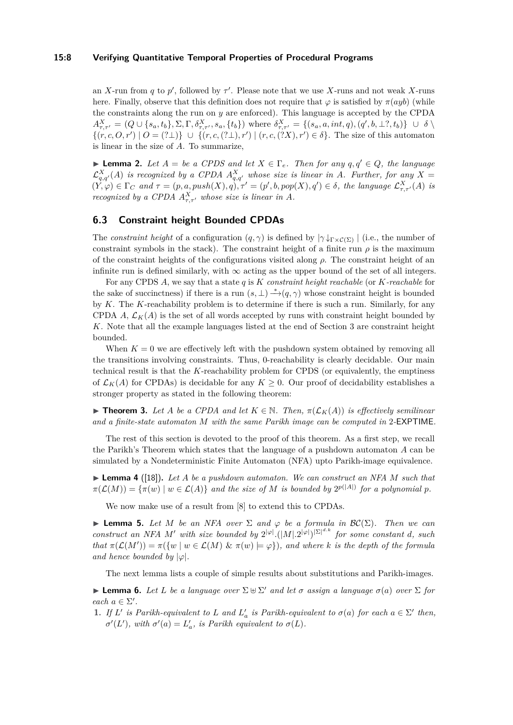#### **15:8 Verifying Quantitative Temporal Properties of Procedural Programs**

an *X*-run from *q* to *p*<sup>'</sup>, followed by  $\tau'$ . Please note that we use *X*-runs and not weak *X*-runs here. Finally, observe that this definition does not require that  $\varphi$  is satisfied by  $\pi($ *ayb*) (while the constraints along the run on *y* are enforced). This language is accepted by the CPDA  $A^X_{\tau,\tau'} = (Q \cup \{s_a, t_b\}, \Sigma, \Gamma, \delta^X_{\tau,\tau'}, s_a, \{t_b\})$  where  $\delta^X_{\tau,\tau'} = \{(s_a, a, int, q), (q', b, \perp, 1, t_b)\} \cup \delta \setminus$  $\{(r, c, 0, r') \mid 0 = (? \bot)\} \cup \{(r, c, (? \bot), r') \mid (r, c, (?X), r') \in \delta\}.$  The size of this automaton is linear in the size of *A*. To summarize,

► **Lemma 2.** Let  $A = be$  a CPDS and let  $X \in \Gamma_e$ . Then for any  $q, q' \in Q$ , the language  $\mathcal{L}_{q,q'}^{X}(A)$  is recognized by a CPDA  $A_{q,q'}^{X}$  whose size is linear in A. Further, for any  $X =$  $(Y,\varphi) \in \Gamma_C$  and  $\tau = (p,a, push(X), q), \tau' = (p', b, pop(X), q') \in \delta$ , the language  $\mathcal{L}^{X}_{\tau,\tau'}(A)$  is *recognized by a CPDA*  $A^X_{\tau,\tau}$  *whose size is linear in A*.

# **6.3 Constraint height Bounded CPDAs**

The *constraint height* of a configuration  $(q, \gamma)$  is defined by  $|\gamma \downarrow_{\Gamma \times C(\Sigma)}|$  (i.e., the number of constraint symbols in the stack). The constraint height of a finite run  $\rho$  is the maximum of the constraint heights of the configurations visited along *ρ*. The constraint height of an infinite run is defined similarly, with  $\infty$  acting as the upper bound of the set of all integers.

For any CPDS *A*, we say that a state *q* is *K constraint height reachable* (or *K-reachable* for the sake of succinctness) if there is a run  $(s, \perp) \rightarrow^* (q, \gamma)$  whose constraint height is bounded by *K*. The *K*-reachability problem is to determine if there is such a run. Similarly, for any CPDA *A*,  $\mathcal{L}_K(A)$  is the set of all words accepted by runs with constraint height bounded by *K*. Note that all the example languages listed at the end of Section [3](#page-2-0) are constraint height bounded.

When  $K = 0$  we are effectively left with the pushdown system obtained by removing all the transitions involving constraints. Thus, 0-reachability is clearly decidable. Our main technical result is that the *K*-reachability problem for CPDS (or equivalently, the emptiness of  $\mathcal{L}_K(A)$  for CPDAs) is decidable for any  $K \geq 0$ . Our proof of decidability establishes a stronger property as stated in the following theorem:

<span id="page-7-0"></span> $▶$  **Theorem 3.** *Let A be a CPDA and let*  $K ∈ ℕ$ *. Then,*  $π(\mathcal{L}_K(A))$  *is effectively semilinear and a finite-state automaton M with the same Parikh image can be computed in* 2*-*EXPTIME*.*

The rest of this section is devoted to the proof of this theorem. As a first step, we recall the Parikh's Theorem which states that the language of a pushdown automaton *A* can be simulated by a Nondeterministic Finite Automaton (NFA) upto Parikh-image equivalence.

<span id="page-7-1"></span> $\blacktriangleright$  **Lemma 4** ([\[18\]](#page-16-9)). Let A be a pushdown automaton. We can construct an NFA M such that  $\pi(\mathcal{L}(M)) = {\pi(w) | w \in \mathcal{L}(A)}$  *and the size of M is bounded by*  $2^{p(|A|)}$  *for a polynomial p.* 

We now make use of a result from [\[8\]](#page-15-13) to extend this to CPDAs.

<span id="page-7-2"></span>**Lemma 5.** *Let M be an NFA over*  $\Sigma$  *and*  $\varphi$  *be a formula in*  $\mathcal{BC}(\Sigma)$ *. Then we can construct an NFA M' with size bounded by*  $2^{|\varphi|}.(|M| \cdot 2^{|\varphi|})^{|\Sigma|^{d,k}}$  *for some constant d, such that*  $\pi(\mathcal{L}(M')) = \pi({w \mid w \in \mathcal{L}(M) \& \pi(w) \models \varphi})$ , and where *k* is the depth of the formula *and hence bounded by*  $|\varphi|$ *.* 

The next lemma lists a couple of simple results about substitutions and Parikh-images.

<span id="page-7-3"></span>**Example 6.** Let L be a language over  $\Sigma \oplus \Sigma'$  and let  $\sigma$  assign a language  $\sigma(a)$  over  $\Sigma$  for *each*  $a \in \Sigma'$ .

**1.** If L' is Parikh-equivalent to L and  $L'_a$  is Parikh-equivalent to  $\sigma(a)$  for each  $a \in \Sigma'$  then,  $\sigma'(L')$ , with  $\sigma'(a) = L'_a$ , is Parikh equivalent to  $\sigma(L)$ .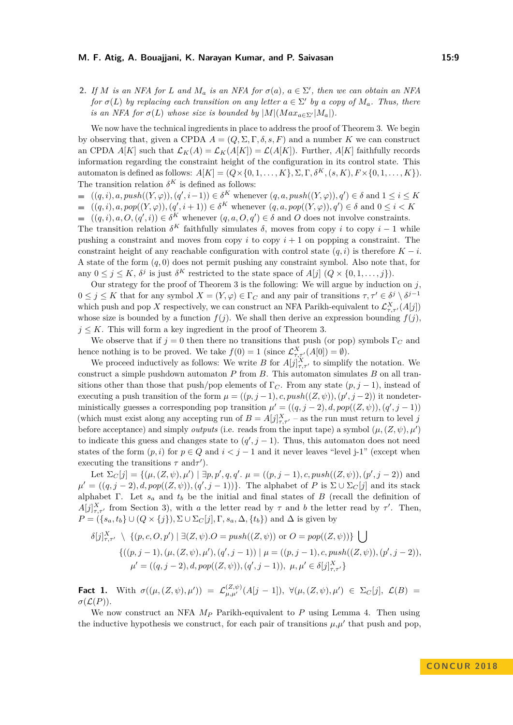**2.** *If M is an NFA for L and*  $M_a$  *is an NFA for*  $\sigma(a)$ *,*  $a \in \Sigma'$ *, then we can obtain an NFA for*  $\sigma(L)$  *by replacing each transition on any letter*  $a \in \Sigma'$  *by a copy of*  $M_a$ *. Thus, there is an NFA for*  $\sigma(L)$  *whose size is bounded by*  $|M|(Max_{a \in \Sigma'}|M_a|)$ .

We now have the technical ingredients in place to address the proof of Theorem [3.](#page-7-0) We begin by observing that, given a CPDA  $A = (Q, \Sigma, \Gamma, \delta, s, F)$  and a number K we can construct an CPDA  $A[K]$  such that  $\mathcal{L}_K(A) = \mathcal{L}_K(A[K]) = \mathcal{L}(A[K])$ . Further,  $A[K]$  faithfully records information regarding the constraint height of the configuration in its control state. This automaton is defined as follows:  $A[K] = (Q \times \{0, 1, \ldots, K\}, \Sigma, \Gamma, \delta^K, (s, K), F \times \{0, 1, \ldots, K\}).$ The transition relation  $\delta^K$  is defined as follows:

 $((q, i), a, push((Y, \varphi)), (q', i-1)) \in \delta^K$  whenever  $(q, a, push((Y, \varphi)), q') \in \delta$  and  $1 \leq i \leq K$  $((q, i), a, pop((Y, \varphi)), (q', i + 1)) \in \delta^K$  whenever  $(q, a, pop((Y, \varphi)), q') \in \delta$  and  $0 \leq i \leq K$  $\blacksquare$ 

 $((q, i), a, O, (q', i)) \in \delta^K$  whenever  $(q, a, O, q') \in \delta$  and *O* does not involve constraints.  $\blacksquare$ The transition relation  $\delta^K$  faithfully simulates  $\delta$ , moves from copy *i* to copy *i* − 1 while pushing a constraint and moves from copy  $i$  to copy  $i + 1$  on popping a constraint. The constraint height of any reachable configuration with control state  $(q, i)$  is therefore  $K - i$ . A state of the form  $(q, 0)$  does not permit pushing any constraint symbol. Also note that, for any  $0 \leq j \leq K$ ,  $\delta^j$  is just  $\delta^K$  restricted to the state space of  $A[j]$   $(Q \times \{0, 1, \ldots, j\})$ .

Our strategy for the proof of Theorem [3](#page-7-0) is the following: We will argue by induction on  $j$ ,  $0 \leq j \leq K$  that for any symbol  $X = (Y, \varphi) \in \Gamma_C$  and any pair of transitions  $\tau, \tau' \in \delta^j \setminus \delta^{j-1}$ which push and pop *X* respectively, we can construct an NFA Parikh-equivalent to  $\mathcal{L}^{X}_{\tau,\tau'}(A[j])$ whose size is bounded by a function  $f(j)$ . We shall then derive an expression bounding  $f(j)$ .  $j \leq K$ . This will form a key ingredient in the proof of Theorem [3.](#page-7-0)

We observe that if  $j = 0$  then there no transitions that push (or pop) symbols  $\Gamma_C$  and hence nothing is to be proved. We take  $f(0) = 1$  (since  $\mathcal{L}^{X}_{\tau,\tau'}(A[0]) = \emptyset$ ).

We proceed inductively as follows: We write *B* for  $A[j]_{\tau,\tau'}^X$  to simplify the notation. We construct a simple pushdown automaton *P* from *B*. This automaton simulates *B* on all transitions other than those that push/pop elements of  $\Gamma_C$ . From any state  $(p, j - 1)$ , instead of executing a push transition of the form  $\mu = ((p, j - 1), c, push((Z, \psi)), (p', j - 2))$  it nondeterministically guesses a corresponding pop transition  $\mu' = ((q, j - 2), d, pop((Z, \psi)), (q', j - 1))$ (which must exist along any accepting run of  $B = A[j]_{\tau,\tau'}^X$  – as the run must return to level *j* before acceptance) and simply *outputs* (i.e. reads from the input tape) a symbol  $(\mu, (Z, \psi), \mu')$ to indicate this guess and changes state to  $(q', j - 1)$ . Thus, this automaton does not need states of the form  $(p, i)$  for  $p \in Q$  and  $i < j - 1$  and it never leaves "level j-1" (except when executing the transitions  $\tau$  and  $\tau'$ ).

Let  $\Sigma_C[j] = \{(\mu, (Z, \psi), \mu') \mid \exists p, p', q, q'. \mu = ((p, j - 1), c, push((Z, \psi)), (p', j - 2)) \text{ and }$  $\mu' = ((q, j - 2), d, pop((Z, \psi)), (q', j - 1))$ . The alphabet of *P* is  $\Sigma \cup \Sigma_C[j]$  and its stack alphabet Γ. Let *s<sup>a</sup>* and *t<sup>b</sup>* be the initial and final states of *B* (recall the definition of  $A[j]_{\tau,\tau'}^X$  from Section [3\)](#page-2-0), with *a* the letter read by  $\tau$  and *b* the letter read by  $\tau'$ . Then,  $P = (\{s_a, t_b\} \cup (Q \times \{j\}), \Sigma \cup \Sigma_C[j], \Gamma, s_a, \Delta, \{t_b\})$  and  $\Delta$  is given by

$$
\delta[j]_{\tau,\tau'}^X \setminus \{ (p,c,O,p') \mid \exists (Z,\psi).O = push((Z,\psi)) \text{ or } O = pop((Z,\psi)) \} \bigcup
$$
  

$$
\{ ((p,j-1), (\mu,(Z,\psi),\mu'), (q',j-1)) \mid \mu = ((p,j-1),c, push((Z,\psi)), (p',j-2)),
$$
  

$$
\mu' = ((q,j-2), d, pop((Z,\psi)), (q',j-1)), \mu, \mu' \in \delta[j]_{\tau,\tau'}^X \}
$$

**Fact 1.** With  $\sigma((\mu,(Z,\psi),\mu')) = \mathcal{L}^{(Z,\psi)}_{\mu,\mu'}(A[j-1]), \ \forall (\mu,(Z,\psi),\mu') \in \Sigma_C[j], \ \mathcal{L}(B) =$  $\sigma(\mathcal{L}(P)).$ 

We now construct an NFA *M<sup>P</sup>* Parikh-equivalent to *P* using Lemma [4.](#page-7-1) Then using the inductive hypothesis we construct, for each pair of transitions  $\mu$ , $\mu'$  that push and pop,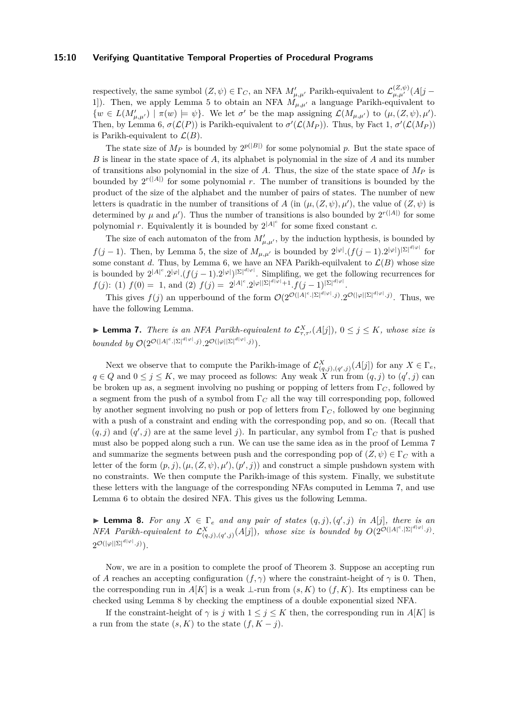#### **15:10 Verifying Quantitative Temporal Properties of Procedural Programs**

respectively, the same symbol  $(Z, \psi) \in \Gamma_C$ , an NFA  $M'_{\mu,\mu'}$  Parikh-equivalent to  $\mathcal{L}^{(Z,\psi)}_{\mu,\mu'}(A[j-\mu])$ 1]). Then, we apply Lemma [5](#page-7-2) to obtain an NFA  $M_{\mu,\mu'}$  a language Parikh-equivalent to  $\{w \in L(M'_{\mu,\mu'}) \mid \pi(w) \models \psi\}.$  We let  $\sigma'$  be the map assigning  $\mathcal{L}(M_{\mu,\mu'})$  to  $(\mu,(Z,\psi),\mu').$ Then, by Lemma [6,](#page-7-3)  $\sigma(\mathcal{L}(P))$  is Parikh-equivalent to  $\sigma'(\mathcal{L}(M_P))$ . Thus, by Fact 1,  $\sigma'(\mathcal{L}(M_P))$ is Parikh-equivalent to  $\mathcal{L}(B)$ .

The state size of  $M_P$  is bounded by  $2^{p(|B|)}$  for some polynomial p. But the state space of *B* is linear in the state space of *A*, its alphabet is polynomial in the size of *A* and its number of transitions also polynomial in the size of *A*. Thus, the size of the state space of *M<sup>P</sup>* is bounded by  $2^{r(|A|)}$  for some polynomial *r*. The number of transitions is bounded by the product of the size of the alphabet and the number of pairs of states. The number of new letters is quadratic in the number of transitions of *A* (in  $(\mu, (Z, \psi), \mu')$ , the value of  $(Z, \psi)$  is determined by  $\mu$  and  $\mu'$ ). Thus the number of transitions is also bounded by  $2^{r(|A|)}$  for some polynomial *r*. Equivalently it is bounded by  $2^{|A|^c}$  for some fixed constant *c*.

The size of each automaton of the from  $M'_{\mu,\mu'}$ , by the induction hypthesis, is bounded by *f*(*j* − 1). Then, by Lemma [5,](#page-7-2) the size of  $M_{\mu,\mu'}$  is bounded by  $2^{|\varphi|} \cdot (f(j-1).2^{|\varphi|})^{\vert\Sigma\vert^{d|\varphi|}}$  for some constant *d*. Thus, by Lemma [6,](#page-7-3) we have an NFA Parikh-equilvalent to  $\mathcal{L}(B)$  whose size is bounded by  $2^{|A|^c} \cdot 2^{|\varphi|} \cdot (f(j-1) \cdot 2^{|\varphi|})^{|{\Sigma}|^{d}|\varphi|}$ . Simplifing, we get the following recurrences for  $f(j)$ : (1)  $f(0) = 1$ , and (2)  $f(j) = 2^{|A|^c} \cdot 2^{|\varphi||\Sigma|^{d|\varphi|}+1} \cdot f(j-1)^{|\Sigma|^{d|\varphi|}}$ .

This gives  $f(j)$  an upperbound of the form  $\mathcal{O}(2^{\mathcal{O}(|A|^c \cdot |\Sigma|^{d|\varphi|} \cdot j)} \cdot 2^{\mathcal{O}(|\varphi||\Sigma|^{d|\varphi|} \cdot j)}$ . Thus, we have the following Lemma.

<span id="page-9-0"></span>**Example 7.** There is an NFA Parikh-equivalent to  $\mathcal{L}^X_{\tau,\tau'}(A[j])$ ,  $0 \leq j \leq K$ , whose size is *bounded by*  $\mathcal{O}(2^{\mathcal{O}(|A|^c \cdot |\Sigma|^{d|\varphi|} \cdot j)} \cdot 2^{\mathcal{O}(|\varphi||\Sigma|^{d|\varphi|} \cdot j)})$ .

Next we observe that to compute the Parikh-image of  $\mathcal{L}_{(q,j),(q',j)}^{X}(A[j])$  for any  $X \in \Gamma_e$ , *q* ∈ *Q* and  $0 ≤ j ≤ K$ , we may proceed as follows: Any weak  $\overline{X}$  run from  $(q, j)$  to  $(q', j)$  can be broken up as, a segment involving no pushing or popping of letters from Γ*<sup>C</sup>* , followed by a segment from the push of a symbol from Γ*<sup>C</sup>* all the way till corresponding pop, followed by another segment involving no push or pop of letters from Γ*<sup>C</sup>* , followed by one beginning with a push of a constraint and ending with the corresponding pop, and so on. (Recall that  $(q, j)$  and  $(q', j)$  are at the same level *j*). In particular, any symbol from  $\Gamma_C$  that is pushed must also be popped along such a run. We can use the same idea as in the proof of Lemma [7](#page-9-0) and summarize the segments between push and the corresponding pop of  $(Z, \psi) \in \Gamma_C$  with a letter of the form  $(p, j)$ ,  $(\mu, (Z, \psi), \mu')$ ,  $(p', j)$  and construct a simple pushdown system with no constraints. We then compute the Parikh-image of this system. Finally, we substitute these letters with the language of the corresponding NFAs computed in Lemma [7,](#page-9-0) and use Lemma [6](#page-7-3) to obtain the desired NFA. This gives us the following Lemma.

<span id="page-9-1"></span>**Example 8.** For any  $X \in \Gamma_e$  and any pair of states  $(q, j), (q', j)$  in A[j], there is an *NFA Parikh-equivalent to*  $\mathcal{L}_{(q,j),(q',j)}^X(A[j])$ *, whose size is bounded by*  $O(2^{\mathcal{O}(|A|^c \cdot |\Sigma|^{d|\varphi|} \cdot j)}$ .  $2^{\mathcal{O}(|\varphi||\Sigma|^{d|\varphi|}\cdot j)}$ ).

Now, we are in a position to complete the proof of Theorem [3.](#page-7-0) Suppose an accepting run of *A* reaches an accepting configuration  $(f, \gamma)$  where the constraint-height of  $\gamma$  is 0. Then, the corresponding run in  $A[K]$  is a weak  $\perp$ -run from  $(s, K)$  to  $(f, K)$ . Its emptiness can be checked using Lemma [8](#page-9-1) by checking the emptiness of a double exponential sized NFA.

If the constraint-height of  $\gamma$  is *j* with  $1 \leq j \leq K$  then, the corresponding run in  $A[K]$  is a run from the state  $(s, K)$  to the state  $(f, K - j)$ .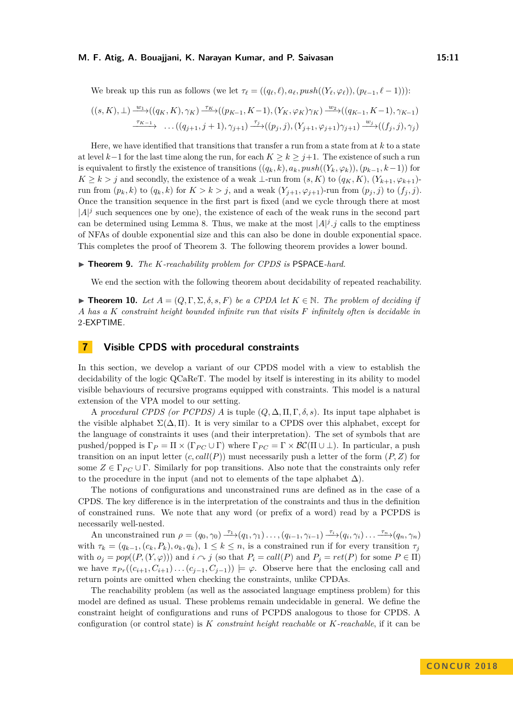We break up this run as follows (we let  $\tau_{\ell} = ((q_{\ell}, \ell), a_{\ell}, push((Y_{\ell}, \varphi_{\ell})), (p_{\ell-1}, \ell-1))$ ):

$$
((s, K), \perp) \xrightarrow{w_1} ((q_K, K), \gamma_K) \xrightarrow{\tau_K} ((p_{K-1}, K-1), (Y_K, \varphi_K) \gamma_K) \xrightarrow{w_2} ((q_{K-1}, K-1), \gamma_{K-1})
$$
  

$$
\xrightarrow{\tau_{K-1}} \dots ((q_{j+1}, j+1), \gamma_{j+1}) \xrightarrow{\tau_j} ((p_j, j), (Y_{j+1}, \varphi_{j+1}) \gamma_{j+1}) \xrightarrow{w_j} ((f_j, j), \gamma_j)
$$

Here, we have identified that transitions that transfer a run from a state from at *k* to a state at level  $k-1$  for the last time along the run, for each  $K > k > j+1$ . The existence of such a run is equivalent to firstly the existence of transitions  $((q_k, k), a_k, push((Y_k, \varphi_k)), (p_{k-1}, k-1))$  for *K* ≥ *k* > *j* and secondly, the existence of a weak ⊥-run from  $(s, K)$  to  $(q<sub>K</sub>, K)$ ,  $(Y<sub>k+1</sub>, \varphi<sub>k+1</sub>)$ run from  $(p_k, k)$  to  $(q_k, k)$  for  $K > k > j$ , and a weak  $(Y_{j+1}, \varphi_{j+1})$ -run from  $(p_j, j)$  to  $(f_j, j)$ . Once the transition sequence in the first part is fixed (and we cycle through there at most  $|A|^j$  such sequences one by one), the existence of each of the weak runs in the second part can be determined using Lemma [8.](#page-9-1) Thus, we make at the most  $|A|^j \, j$  calls to the emptiness of NFAs of double exponential size and this can also be done in double exponential space. This completes the proof of Theorem [3.](#page-7-0) The following theorem provides a lower bound.

#### ▶ **Theorem 9.** *The K-reachability problem for CPDS is* PSPACE-hard.

We end the section with the following theorem about decidability of repeated reachability.

<span id="page-10-0"></span>**► Theorem 10.** Let  $A = (Q, \Gamma, \Sigma, \delta, s, F)$  be a CPDA let  $K \in \mathbb{N}$ . The problem of deciding if *A has a K constraint height bounded infinite run that visits F infinitely often is decidable in* 2*-*EXPTIME*.*

### **7 Visible CPDS with procedural constraints**

In this section, we develop a variant of our CPDS model with a view to establish the decidability of the logic QCaReT. The model by itself is interesting in its ability to model visible behaviours of recursive programs equipped with constraints. This model is a natural extension of the VPA model to our setting.

A *procedural CPDS (or PCPDS) A* is tuple  $(Q, \Delta, \Pi, \Gamma, \delta, s)$ . Its input tape alphabet is the visible alphabet  $\Sigma(\Delta,\Pi)$ . It is very similar to a CPDS over this alphabet, except for the language of constraints it uses (and their interpretation). The set of symbols that are pushed/popped is  $\Gamma_P = \Pi \times (\Gamma_{PC} \cup \Gamma)$  where  $\Gamma_{PC} = \Gamma \times BC(\Pi \cup \bot)$ . In particular, a push transition on an input letter  $(c, call(P))$  must necessarily push a letter of the form  $(P, Z)$  for some  $Z \in \Gamma_{PC} \cup \Gamma$ . Similarly for pop transitions. Also note that the constraints only refer to the procedure in the input (and not to elements of the tape alphabet  $\Delta$ ).

The notions of configurations and unconstrained runs are defined as in the case of a CPDS. The key difference is in the interpretation of the constraints and thus in the definition of constrained runs. We note that any word (or prefix of a word) read by a PCPDS is necessarily well-nested.

An unconstrained run  $\rho = (q_0, \gamma_0) \frac{\tau_1}{\tau_1} (q_1, \gamma_1) \dots, (q_{i-1}, \gamma_{i-1}) \frac{\tau_i}{\tau_i} (q_i, \gamma_i) \dots \frac{\tau_n}{\tau_n} (q_n, \gamma_n)$ with  $\tau_k = (q_{k-1}, (c_k, P_k), o_k, q_k), 1 \leq k \leq n$ , is a constrained run if for every transition  $\tau_j$ with  $o_j = pop((P, (Y, \varphi)))$  and  $i \sim j$  (so that  $P_i = call(P)$  and  $P_j = ret(P)$  for some  $P \in \Pi$ ) we have  $\pi_{Pr}((c_{i+1}, C_{i+1}) \dots (c_{j-1}, C_{j-1})) \models \varphi$ . Observe here that the enclosing call and return points are omitted when checking the constraints, unlike CPDAs.

The reachability problem (as well as the associated language emptiness problem) for this model are defined as usual. These problems remain undecidable in general. We define the constraint height of configurations and runs of PCPDS analogous to those for CPDS. A configuration (or control state) is *K constraint height reachable* or *K-reachable*, if it can be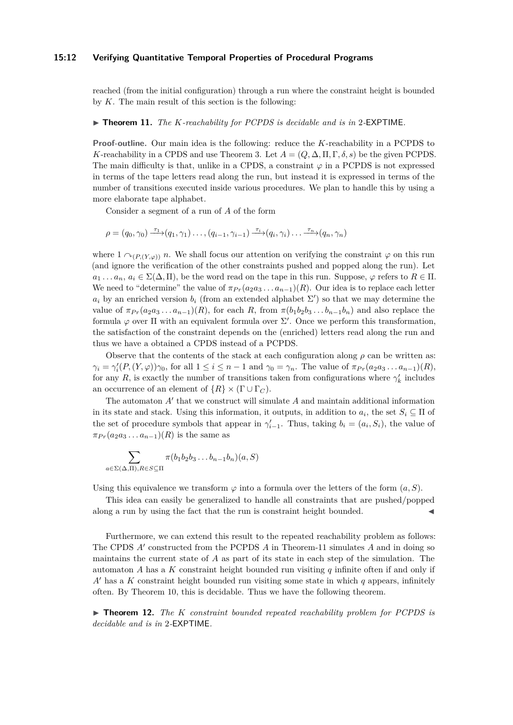#### **15:12 Verifying Quantitative Temporal Properties of Procedural Programs**

reached (from the initial configuration) through a run where the constraint height is bounded by *K*. The main result of this section is the following:

#### <span id="page-11-0"></span>▶ **Theorem 11.** *The K-reachability for PCPDS is decidable and is in* 2-EXPTIME.

**Proof-outline.** Our main idea is the following: reduce the *K*-reachability in a PCPDS to *K*-reachability in a CPDS and use Theorem [3.](#page-7-0) Let  $A = (Q, \Delta, \Pi, \Gamma, \delta, s)$  be the given PCPDS. The main difficulty is that, unlike in a CPDS, a constraint  $\varphi$  in a PCPDS is not expressed in terms of the tape letters read along the run, but instead it is expressed in terms of the number of transitions executed inside various procedures. We plan to handle this by using a more elaborate tape alphabet.

Consider a segment of a run of *A* of the form

$$
\rho = (q_0, \gamma_0) \xrightarrow{\tau_1} (q_1, \gamma_1) \dots, (q_{i-1}, \gamma_{i-1}) \xrightarrow{\tau_i} (q_i, \gamma_i) \dots \xrightarrow{\tau_n} (q_n, \gamma_n)
$$

where  $1 \wedge_{(P,(Y,\varphi))} n$ . We shall focus our attention on verifying the constraint  $\varphi$  on this run (and ignore the verification of the other constraints pushed and popped along the run). Let  $a_1 \ldots a_n, a_i \in \Sigma(\Delta, \Pi)$ , be the word read on the tape in this run. Suppose,  $\varphi$  refers to  $R \in \Pi$ . We need to "determine" the value of  $\pi_{Pr}(a_2a_3 \ldots a_{n-1})(R)$ . Our idea is to replace each letter  $a_i$  by an enriched version  $b_i$  (from an extended alphabet  $\Sigma'$ ) so that we may determine the value of  $\pi_{Pr}(a_2a_3 \ldots a_{n-1})(R)$ , for each *R*, from  $\pi(b_1b_2b_3 \ldots b_{n-1}b_n)$  and also replace the formula  $\varphi$  over  $\Pi$  with an equivalent formula over  $\Sigma'$ . Once we perform this transformation, the satisfaction of the constraint depends on the (enriched) letters read along the run and thus we have a obtained a CPDS instead of a PCPDS.

Observe that the contents of the stack at each configuration along  $\rho$  can be written as:  $\gamma_i = \gamma'_i(P, (Y, \varphi))\gamma_0$ , for all  $1 \leq i \leq n-1$  and  $\gamma_0 = \gamma_n$ . The value of  $\pi_{Pr}(a_2a_3 \ldots a_{n-1})(R)$ , for any *R*, is exactly the number of transitions taken from configurations where  $\gamma'_k$  includes an occurrence of an element of  $\{R\} \times (\Gamma \cup \Gamma_C)$ .

The automaton  $A'$  that we construct will simulate  $A$  and maintain additional information in its state and stack. Using this information, it outputs, in addition to  $a_i$ , the set  $S_i \subseteq \Pi$  of the set of procedure symbols that appear in  $\gamma'_{i-1}$ . Thus, taking  $b_i = (a_i, S_i)$ , the value of  $\pi_{Pr}(a_2a_3\dots a_{n-1})(R)$  is the same as

$$
\sum_{a \in \Sigma(\Delta,\Pi), R \in S \subseteq \Pi} \pi(b_1 b_2 b_3 \dots b_{n-1} b_n)(a, S)
$$

Using this equivalence we transform  $\varphi$  into a formula over the letters of the form  $(a, S)$ .

This idea can easily be generalized to handle all constraints that are pushed/popped along a run by using the fact that the run is constraint height bounded.

Furthermore, we can extend this result to the repeated reachability problem as follows: The CPDS A' constructed from the PCPDS A in Theorem[-11](#page-11-0) simulates A and in doing so maintains the current state of *A* as part of its state in each step of the simulation. The automaton *A* has a *K* constraint height bounded run visiting *q* infinite often if and only if  $A'$  has a  $K$  constraint height bounded run visiting some state in which  $q$  appears, infinitely often. By Theorem [10,](#page-10-0) this is decidable. Thus we have the following theorem.

► **Theorem 12.** *The K constraint bounded repeated reachability problem for PCPDS is decidable and is in* 2*-*EXPTIME*.*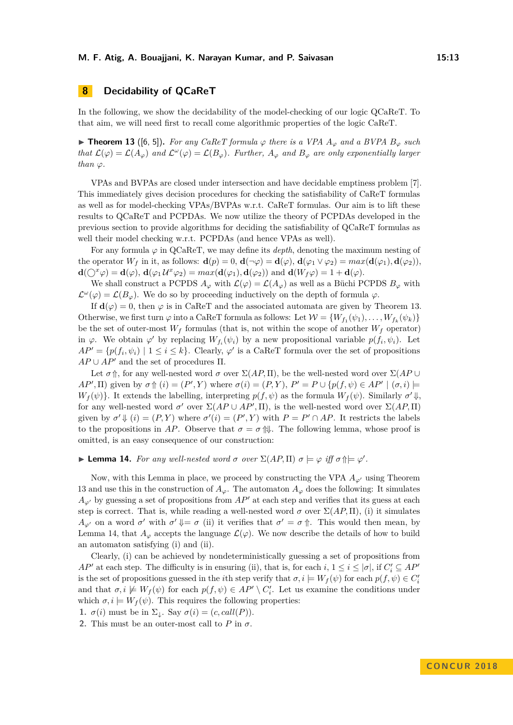# **8 Decidability of QCaReT**

In the following, we show the decidability of the model-checking of our logic QCaReT. To that aim, we will need first to recall come algorithmic properties of the logic CaReT.

<span id="page-12-0"></span>▶ **Theorem 13** ([\[6,](#page-15-0) [5\]](#page-15-5)). For any CaReT formula  $\varphi$  there is a VPA  $A_{\varphi}$  and a BVPA  $B_{\varphi}$  such *that*  $\mathcal{L}(\varphi) = \mathcal{L}(A_{\varphi})$  *and*  $\mathcal{L}^{\omega}(\varphi) = \mathcal{L}(B_{\varphi})$ *. Further,*  $A_{\varphi}$  *and*  $B_{\varphi}$  *are only exponentially larger than*  $\varphi$ *.* 

VPAs and BVPAs are closed under intersection and have decidable emptiness problem [\[7\]](#page-15-4). This immediately gives decision procedures for checking the satisfiability of CaReT formulas as well as for model-checking VPAs/BVPAs w.r.t. CaReT formulas. Our aim is to lift these results to QCaReT and PCPDAs. We now utilize the theory of PCPDAs developed in the previous section to provide algorithms for deciding the satisfiability of QCaReT formulas as well their model checking w.r.t. PCPDAs (and hence VPAs as well).

For any formula *ϕ* in QCaReT, we may define its *depth*, denoting the maximum nesting of the operator  $W_f$  in it, as follows:  $\mathbf{d}(p) = 0$ ,  $\mathbf{d}(\neg \varphi) = \mathbf{d}(\varphi)$ ,  $\mathbf{d}(\varphi_1 \vee \varphi_2) = \max(\mathbf{d}(\varphi_1), \mathbf{d}(\varphi_2))$ ,  $d(\bigcirc^x \varphi) = d(\varphi), d(\varphi_1 \mathcal{U}^x \varphi_2) = max(d(\varphi_1), d(\varphi_2))$  and  $d(W_f \varphi) = 1 + d(\varphi)$ .

We shall construct a PCPDS  $A_{\varphi}$  with  $\mathcal{L}(\varphi) = \mathcal{L}(A_{\varphi})$  as well as a Büchi PCPDS  $B_{\varphi}$  with  $\mathcal{L}^{\omega}(\varphi) = \mathcal{L}(B_{\varphi})$ . We do so by proceeding inductively on the depth of formula  $\varphi$ .

If  $\mathbf{d}(\varphi) = 0$ , then  $\varphi$  is in CaReT and the associated automata are given by Theorem [13.](#page-12-0) Otherwise, we first turn  $\varphi$  into a CaReT formula as follows: Let  $\mathcal{W} = \{W_{f_1}(\psi_1), \dots, W_{f_k}(\psi_k)\}\$ be the set of outer-most  $W_f$  formulas (that is, not within the scope of another  $W_f$  operator) in  $\varphi$ . We obtain  $\varphi'$  by replacing  $W_{f_i}(\psi_i)$  by a new propositional variable  $p(f_i, \psi_i)$ . Let  $AP' = \{p(f_i, \psi_i) \mid 1 \leq i \leq k\}$ . Clearly,  $\varphi'$  is a CaReT formula over the set of propositions  $AP \cup AP'$  and the set of procedures  $\Pi$ .

Let  $\sigma$   $\uparrow$ , for any well-nested word  $\sigma$  over  $\Sigma(AP,\Pi)$ , be the well-nested word over  $\Sigma(AP \cup$ *AP*', *II*) given by  $\sigma \uparrow (i) = (P', Y)$  where  $\sigma(i) = (P, Y), P' = P \cup \{p(f, \psi) \in AP' \mid (\sigma, i) \models P$  $W_f(\psi)$ . It extends the labelling, interpreting  $p(f, \psi)$  as the formula  $W_f(\psi)$ . Similarly  $\sigma' \Downarrow$ , for any well-nested word  $\sigma'$  over  $\Sigma(AP \cup AP', \Pi)$ , is the well-nested word over  $\Sigma(AP, \Pi)$ given by  $\sigma' \Downarrow (i) = (P, Y)$  where  $\sigma'(i) = (P', Y)$  with  $P = P' \cap AP$ . It restricts the labels to the propositions in AP. Observe that  $\sigma = \sigma \, \mathbb{N}$ . The following lemma, whose proof is omitted, is an easy consequence of our construction:

# <span id="page-12-1"></span>**I Lemma 14.** For any well-nested word  $\sigma$  over  $\Sigma(AP,\Pi)$   $\sigma \models \varphi$  *iff*  $\sigma \uparrow \models \varphi'$ .

Now, with this Lemma in place, we proceed by constructing the VPA  $A_{\varphi}$  using Theorem [13](#page-12-0) and use this in the construction of  $A_\varphi$ . The automaton  $A_\varphi$  does the following: It simulates  $A_{\varphi}$  by guessing a set of propositions from  $AP'$  at each step and verifies that its guess at each step is correct. That is, while reading a well-nested word  $\sigma$  over  $\Sigma(AP,\Pi)$ , (i) it simulates *A*<sub>*ϕ*</sub><sup>*i*</sup> on a word *σ*<sup>*'*</sup> with *σ*<sup>*'*</sup>  $\Downarrow$  = *σ* (ii) it verifies that *σ*<sup>*'*</sup> = *σ* ↑. This would then mean, by Lemma [14,](#page-12-1) that  $A_{\varphi}$  accepts the language  $\mathcal{L}(\varphi)$ . We now describe the details of how to build an automaton satisfying (i) and (ii).

Clearly, (i) can be achieved by nondeterministically guessing a set of propositions from *AP*<sup> $\prime$ </sup> at each step. The difficulty is in ensuring (ii), that is, for each  $i, 1 \leq i \leq |\sigma|$ , if  $C_i' \subseteq AP$ <sup>*i*</sup> is the set of propositions guessed in the *i*<sup>th</sup> step verify that  $\sigma, i \models W_f(\psi)$  for each  $p(f, \psi) \in C'_i$ and that  $\sigma, i \not\models W_f(\psi)$  for each  $p(f, \psi) \in AP' \setminus C'_i$ . Let us examine the conditions under which  $\sigma, i \models W_f(\psi)$ . This requires the following properties:

**1.**  $\sigma(i)$  must be in  $\Sigma_{\downarrow}$ . Say  $\sigma(i) = (c, \text{call}(P)).$ 

**2.** This must be an outer-most call to  $P$  in  $\sigma$ .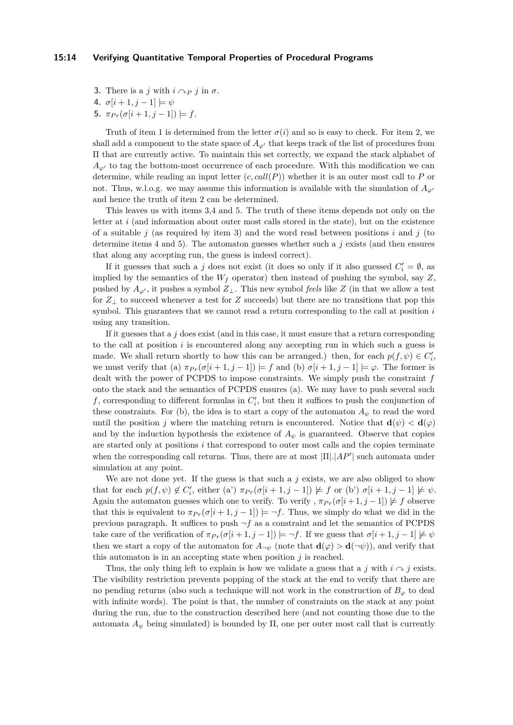#### **15:14 Verifying Quantitative Temporal Properties of Procedural Programs**

- **3.** There is a *j* with  $i \curvearrowright p$  *j* in  $\sigma$ .
- **4.**  $\sigma[i+1, j-1] \models \psi$
- **5.**  $\pi_{Pr}(\sigma[i+1,j-1])$   $\models$  *f*.

Truth of item 1 is determined from the letter  $\sigma(i)$  and so is easy to check. For item 2, we shall add a component to the state space of  $A_{\varphi}$ <sup>*i*</sup> that keeps track of the list of procedures from Π that are currently active. To maintain this set correctly, we expand the stack alphabet of  $A_{\varphi}$  to tag the bottom-most occurrence of each procedure. With this modification we can determine, while reading an input letter  $(c, call(P))$  whether it is an outer most call to P or not. Thus, w.l.o.g. we may assume this information is available with the simulation of  $A_{\varphi}$ <sup>0</sup> and hence the truth of item 2 can be determined.

This leaves us with items 3,4 and 5. The truth of these items depends not only on the letter at *i* (and information about outer most calls stored in the state), but on the existence of a suitable *j* (as required by item 3) and the word read between positions *i* and *j* (to determine items 4 and 5). The automaton guesses whether such a  $j$  exists (and then ensures that along any accepting run, the guess is indeed correct).

If it guesses that such a *j* does not exist (it does so only if it also guessed  $C_i' = \emptyset$ , as implied by the semantics of the *W<sup>f</sup>* operator) then instead of pushing the symbol, say *Z*, pushed by  $A_{\varphi'}$ , it pushes a symbol  $Z_{\perp}$ . This new symbol *feels* like Z (in that we allow a test for *Z*<sup>⊥</sup> to succeed whenever a test for *Z* succeeds) but there are no transitions that pop this symbol. This guarantees that we cannot read a return corresponding to the call at position *i* using any transition.

If it guesses that a  $j$  does exist (and in this case, it must ensure that a return corresponding to the call at position *i* is encountered along any accepting run in which such a guess is made. We shall return shortly to how this can be arranged.) then, for each  $p(f, \psi) \in C'_i$ , we must verify that (a)  $\pi_{Pr}(\sigma[i+1, j-1]) \models f$  and (b)  $\sigma[i+1, j-1] \models \varphi$ . The former is dealt with the power of PCPDS to impose constraints. We simply push the constraint *f* onto the stack and the semantics of PCPDS ensures (a). We may have to push several such  $f$ , corresponding to different formulas in  $C'_{i}$ , but then it suffices to push the conjunction of these constraints. For (b), the idea is to start a copy of the automaton  $A_{\psi}$  to read the word until the position *j* where the matching return is encountered. Notice that  $\mathbf{d}(\psi) < \mathbf{d}(\varphi)$ and by the induction hypothesis the existence of  $A_{\psi}$  is guaranteed. Observe that copies are started only at positions *i* that correspond to outer most calls and the copies terminate when the corresponding call returns. Thus, there are at most  $|\Pi|$ .  $|AP'|$  such automata under simulation at any point.

We are not done yet. If the guess is that such a *j* exists, we are also obliged to show that for each  $p(f, \psi) \notin C'_i$ , either (a')  $\pi_{Pr}(\sigma[i+1, j-1]) \not\models f$  or (b')  $\sigma[i+1, j-1] \not\models \psi$ . Again the automaton guesses which one to verify. To verify ,  $\pi_{Pr}(\sigma[i+1, j-1]) \not\models f$  observe that this is equivalent to  $\pi_{Pr}(\sigma[i+1, j-1]) \models \neg f$ . Thus, we simply do what we did in the previous paragraph. It suffices to push  $\neg f$  as a constraint and let the semantics of PCPDS take care of the verification of  $\pi_{Pr}(\sigma[i+1,j-1]) \models \neg f$ . If we guess that  $\sigma[i+1,j-1] \not\models \psi$ then we start a copy of the automaton for  $A_{\neg \psi}$  (note that  $\mathbf{d}(\varphi) > \mathbf{d}(\neg \psi)$ ), and verify that this automaton is in an accepting state when position *j* is reached.

Thus, the only thing left to explain is how we validate a guess that a *j* with  $i \sim j$  exists. The visibility restriction prevents popping of the stack at the end to verify that there are no pending returns (also such a technique will not work in the construction of  $B_\varphi$  to deal with infinite words). The point is that, the number of constraints on the stack at any point during the run, due to the construction described here (and not counting those due to the automata  $A_{\psi}$  being simulated) is bounded by  $\Pi$ , one per outer most call that is currently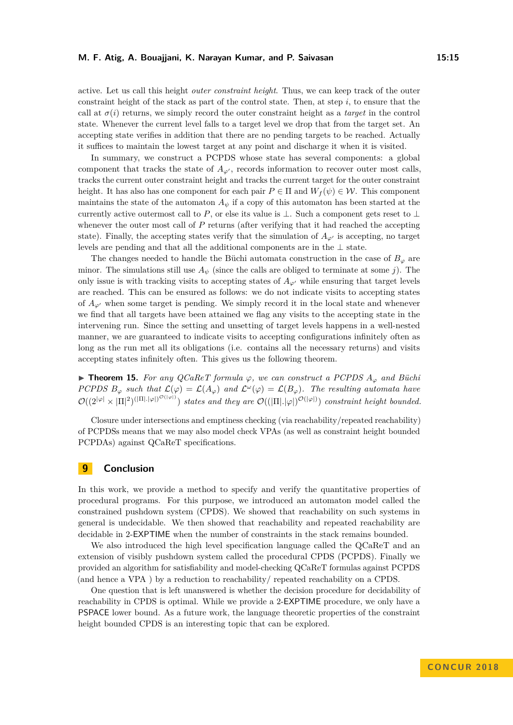active. Let us call this height *outer constraint height*. Thus, we can keep track of the outer constraint height of the stack as part of the control state. Then, at step *i*, to ensure that the call at  $\sigma(i)$  returns, we simply record the outer constraint height as a *target* in the control state. Whenever the current level falls to a target level we drop that from the target set. An accepting state verifies in addition that there are no pending targets to be reached. Actually it suffices to maintain the lowest target at any point and discharge it when it is visited.

In summary, we construct a PCPDS whose state has several components: a global component that tracks the state of  $A_{\varphi}$ , records information to recover outer most calls, tracks the current outer constraint height and tracks the current target for the outer constraint height. It has also has one component for each pair  $P \in \Pi$  and  $W_f(\psi) \in \mathcal{W}$ . This component maintains the state of the automaton  $A_{\psi}$  if a copy of this automaton has been started at the currently active outermost call to *P*, or else its value is  $\bot$ . Such a component gets reset to  $\bot$ whenever the outer most call of P returns (after verifying that it had reached the accepting state). Finally, the accepting states verify that the simulation of  $A_{\omega}$  is accepting, no target levels are pending and that all the additional components are in the  $\perp$  state.

The changes needed to handle the Büchi automata construction in the case of  $B_{\varphi}$  are minor. The simulations still use  $A_{\psi}$  (since the calls are obliged to terminate at some *j*). The only issue is with tracking visits to accepting states of  $A_{\varphi}$  while ensuring that target levels are reached. This can be ensured as follows: we do not indicate visits to accepting states of  $A_{\varphi}$  when some target is pending. We simply record it in the local state and whenever we find that all targets have been attained we flag any visits to the accepting state in the intervening run. Since the setting and unsetting of target levels happens in a well-nested manner, we are guaranteed to indicate visits to accepting configurations infinitely often as long as the run met all its obligations (i.e. contains all the necessary returns) and visits accepting states infinitely often. This gives us the following theorem.

 $▶$  **Theorem 15.** *For any QCaReT formula*  $φ$ *, we can construct a PCPDS*  $A_{φ}$  *and Büchi PCPDS*  $B_{\varphi}$  *such that*  $\mathcal{L}(\varphi) = \mathcal{L}(A_{\varphi})$  *and*  $\mathcal{L}(\varphi) = \mathcal{L}(B_{\varphi})$ *. The resulting automata have*  $\mathcal{O}((2^{|\varphi|} \times |\Pi|^2)^{(|\Pi|,|\varphi|)^{\mathcal{O}(|\varphi|)}})$  states and they are  $\mathcal{O}((|\Pi|,|\varphi|)^{\mathcal{O}(|\varphi|)})$  constraint height bounded.

Closure under intersections and emptiness checking (via reachability/repeated reachability) of PCPDSs means that we may also model check VPAs (as well as constraint height bounded PCPDAs) against QCaReT specifications.

### **9 Conclusion**

In this work, we provide a method to specify and verify the quantitative properties of procedural programs. For this purpose, we introduced an automaton model called the constrained pushdown system (CPDS). We showed that reachability on such systems in general is undecidable. We then showed that reachability and repeated reachability are decidable in 2-EXPTIME when the number of constraints in the stack remains bounded.

We also introduced the high level specification language called the QCaReT and an extension of visibly pushdown system called the procedural CPDS (PCPDS). Finally we provided an algorithm for satisfiability and model-checking QCaReT formulas against PCPDS (and hence a VPA ) by a reduction to reachability/ repeated reachability on a CPDS.

One question that is left unanswered is whether the decision procedure for decidability of reachability in CPDS is optimal. While we provide a 2-EXPTIME procedure, we only have a PSPACE lower bound. As a future work, the language theoretic properties of the constraint height bounded CPDS is an interesting topic that can be explored.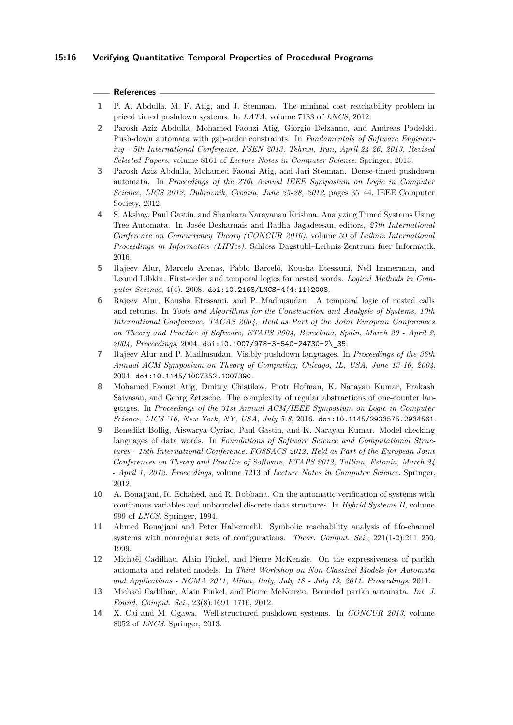### **15:16 Verifying Quantitative Temporal Properties of Procedural Programs**

#### **References**

- <span id="page-15-11"></span>**1** P. A. Abdulla, M. F. Atig, and J. Stenman. The minimal cost reachability problem in priced timed pushdown systems. In *LATA*, volume 7183 of *LNCS*, 2012.
- <span id="page-15-7"></span>**2** Parosh Aziz Abdulla, Mohamed Faouzi Atig, Giorgio Delzanno, and Andreas Podelski. Push-down automata with gap-order constraints. In *Fundamentals of Software Engineering - 5th International Conference, FSEN 2013, Tehran, Iran, April 24-26, 2013, Revised Selected Papers*, volume 8161 of *Lecture Notes in Computer Science*. Springer, 2013.
- <span id="page-15-6"></span>**3** Parosh Aziz Abdulla, Mohamed Faouzi Atig, and Jari Stenman. Dense-timed pushdown automata. In *Proceedings of the 27th Annual IEEE Symposium on Logic in Computer Science, LICS 2012, Dubrovnik, Croatia, June 25-28, 2012*, pages 35–44. IEEE Computer Society, 2012.
- <span id="page-15-8"></span>**4** S. Akshay, Paul Gastin, and Shankara Narayanan Krishna. Analyzing Timed Systems Using Tree Automata. In Josée Desharnais and Radha Jagadeesan, editors, *27th International Conference on Concurrency Theory (CONCUR 2016)*, volume 59 of *Leibniz International Proceedings in Informatics (LIPIcs)*. Schloss Dagstuhl–Leibniz-Zentrum fuer Informatik, 2016.
- <span id="page-15-5"></span>**5** Rajeev Alur, Marcelo Arenas, Pablo Barceló, Kousha Etessami, Neil Immerman, and Leonid Libkin. First-order and temporal logics for nested words. *Logical Methods in Computer Science*, 4(4), 2008. [doi:10.2168/LMCS-4\(4:11\)2008](http://dx.doi.org/10.2168/LMCS-4(4:11)2008).
- <span id="page-15-0"></span>**6** Rajeev Alur, Kousha Etessami, and P. Madhusudan. A temporal logic of nested calls and returns. In *Tools and Algorithms for the Construction and Analysis of Systems, 10th International Conference, TACAS 2004, Held as Part of the Joint European Conferences on Theory and Practice of Software, ETAPS 2004, Barcelona, Spain, March 29 - April 2, 2004, Proceedings*, 2004. [doi:10.1007/978-3-540-24730-2\\\_35](http://dx.doi.org/10.1007/978-3-540-24730-2_35).
- <span id="page-15-4"></span>**7** Rajeev Alur and P. Madhusudan. Visibly pushdown languages. In *Proceedings of the 36th Annual ACM Symposium on Theory of Computing, Chicago, IL, USA, June 13-16, 2004*, 2004. [doi:10.1145/1007352.1007390](http://dx.doi.org/10.1145/1007352.1007390).
- <span id="page-15-13"></span>**8** Mohamed Faouzi Atig, Dmitry Chistikov, Piotr Hofman, K. Narayan Kumar, Prakash Saivasan, and Georg Zetzsche. The complexity of regular abstractions of one-counter languages. In *Proceedings of the 31st Annual ACM/IEEE Symposium on Logic in Computer Science, LICS '16, New York, NY, USA, July 5-8*, 2016. [doi:10.1145/2933575.2934561](http://dx.doi.org/10.1145/2933575.2934561).
- <span id="page-15-9"></span>**9** Benedikt Bollig, Aiswarya Cyriac, Paul Gastin, and K. Narayan Kumar. Model checking languages of data words. In *Foundations of Software Science and Computational Structures - 15th International Conference, FOSSACS 2012, Held as Part of the European Joint Conferences on Theory and Practice of Software, ETAPS 2012, Tallinn, Estonia, March 24 - April 1, 2012. Proceedings*, volume 7213 of *Lecture Notes in Computer Science*. Springer, 2012.
- <span id="page-15-12"></span>**10** A. Bouajjani, R. Echahed, and R. Robbana. On the automatic verification of systems with continuous variables and unbounded discrete data structures. In *Hybrid Systems II*, volume 999 of *LNCS*. Springer, 1994.
- <span id="page-15-3"></span>**11** Ahmed Bouajjani and Peter Habermehl. Symbolic reachability analysis of fifo-channel systems with nonregular sets of configurations. *Theor. Comput. Sci.*, 221(1-2):211–250, 1999.
- <span id="page-15-1"></span>**12** Michaël Cadilhac, Alain Finkel, and Pierre McKenzie. On the expressiveness of parikh automata and related models. In *Third Workshop on Non-Classical Models for Automata and Applications - NCMA 2011, Milan, Italy, July 18 - July 19, 2011. Proceedings*, 2011.
- <span id="page-15-2"></span>**13** Michaël Cadilhac, Alain Finkel, and Pierre McKenzie. Bounded parikh automata. *Int. J. Found. Comput. Sci.*, 23(8):1691–1710, 2012.
- <span id="page-15-10"></span>**14** X. Cai and M. Ogawa. Well-structured pushdown systems. In *CONCUR 2013*, volume 8052 of *LNCS*. Springer, 2013.